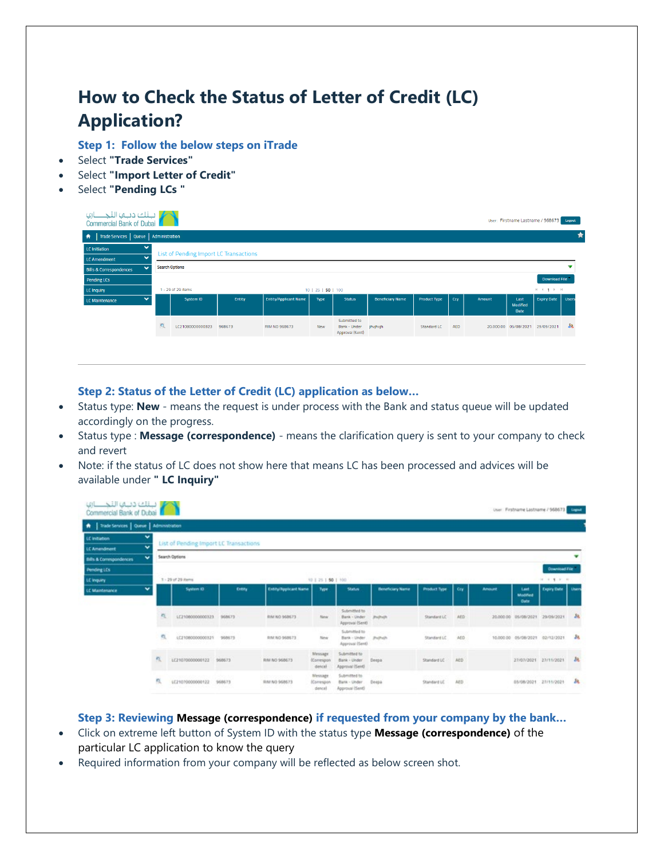## **How to Check the Status of Letter of Credit (LC) Application?**

**Step 1: Follow the below steps on iTrade**

- Select **"Trade Services"**
- Select **"Import Letter of Credit"**
- Select **"Pending LCs "**

| حكم بالك دباها التجالات<br>Commercial Bank of Dubai |     |                                        |        |                              |                    |                                                 |                         |                     |            |        |                                        | User: Firstname Lastname / 968673 | Logout       |
|-----------------------------------------------------|-----|----------------------------------------|--------|------------------------------|--------------------|-------------------------------------------------|-------------------------|---------------------|------------|--------|----------------------------------------|-----------------------------------|--------------|
| Trade Services   Queue   Administration<br>赤        |     |                                        |        |                              |                    |                                                 |                         |                     |            |        |                                        |                                   | Ê            |
| $\checkmark$<br><b>LC</b> Initiation                |     | List of Pending Import LC Transactions |        |                              |                    |                                                 |                         |                     |            |        |                                        |                                   |              |
| $\checkmark$<br><b>LC Amendment</b>                 |     |                                        |        |                              |                    |                                                 |                         |                     |            |        |                                        |                                   |              |
| $\checkmark$<br><b>Bills &amp; Correspondences</b>  |     | <b>Search Options</b>                  |        |                              |                    |                                                 |                         |                     |            |        |                                        |                                   |              |
| Pending LCs                                         |     |                                        |        |                              |                    |                                                 |                         |                     |            |        |                                        | <b>Download File</b>              |              |
| <b>LC Inquiry</b>                                   |     | 1 - 29 of 29 items                     |        |                              | 10   25   50   100 |                                                 |                         |                     |            |        |                                        | $H = 1 + 1 + H$                   |              |
| $\checkmark$<br>LC Maintenance                      |     | System ID                              | Entity | <b>Entity/Applicant Name</b> | Type               | <b>Status</b>                                   | <b>Beneficiary Name</b> | <b>Product Type</b> | Ccy        | Amount | Last<br><b>Modified</b><br><b>Date</b> | <b>Expiry Date</b>                | <b>Users</b> |
|                                                     | IQ. | LC21080000000323                       | 968673 | RIM NO 968673                | <b>New</b>         | Submitted to<br>Bank - Under<br>Approval (Sent) | jhvjhvjh                | Standard LC         | <b>AED</b> |        | 20,000.00 05/08/2021                   | 29/09/2021                        | -88          |
|                                                     |     |                                        |        |                              |                    |                                                 |                         |                     |            |        |                                        |                                   |              |

## **Step 2: Status of the Letter of Credit (LC) application as below…**

- Status type: **New** means the request is under process with the Bank and status queue will be updated accordingly on the progress.
- Status type : **Message (correspondence)** means the clarification query is sent to your company to check and revert
- Note: if the status of LC does not show here that means LC has been processed and advices will be available under **" LC Inquiry"**

| والاجتلاف دبيمه التجلساري<br>Commercial Bank of Dubai |              |                                        |        |                                    |                                        |                                                  |                         |                              |      |               |                                 | User Firstname Lastname / 968673 Care |       |
|-------------------------------------------------------|--------------|----------------------------------------|--------|------------------------------------|----------------------------------------|--------------------------------------------------|-------------------------|------------------------------|------|---------------|---------------------------------|---------------------------------------|-------|
| A   Trade Services   Queue   Administration           |              |                                        |        |                                    |                                        |                                                  |                         |                              |      |               |                                 |                                       |       |
| LC Initiation                                         | $\checkmark$ | List of Pending Import LC Transactions |        |                                    |                                        |                                                  |                         |                              |      |               |                                 |                                       |       |
| LC Amendment                                          | $\checkmark$ |                                        |        |                                    |                                        |                                                  |                         |                              |      |               |                                 |                                       |       |
| $\checkmark$<br>Bills & Commipondences                |              | Search Options                         |        |                                    |                                        |                                                  |                         |                              |      |               |                                 |                                       |       |
| <b>Pending LCs</b>                                    |              |                                        |        |                                    |                                        |                                                  |                         |                              |      |               |                                 | Download File                         |       |
| LC Inquiry                                            |              | 3 - 29 of 29 Rems                      |        |                                    | 10   25   50   100                     |                                                  |                         |                              |      |               |                                 | $18$ 1 8 8 10                         |       |
| LC Maintenance                                        | v            | <b>System ID</b>                       | Entity | Entry/Applicant Name               | Type                                   | Status:                                          | <b>Beneficiary Name</b> | <b>Product Type</b>          | Cry  | <b>Amount</b> | Last<br>Modified<br><b>Oute</b> | Expiry Date                           | Users |
|                                                       |              | 圧<br>LC21080000000323 968673           |        | <b>RIM NO 968673</b>               | forw                                   | Submitted to<br>Bank - Under<br>Approval (Sent)  | <b>Pathott</b>          | Standard LC                  | AED  |               |                                 | 30,000.00 05/08/2021 29/09/2021       | 24    |
|                                                       |              | ٩.<br>LC21080000000321                 | 968673 | RIM NO 968673                      | New                                    | Submitted to<br>Barik - Under<br>Approval (Sent) | Pethoty                 | <b>RANGER</b><br>Standard LC | AED  |               |                                 | 10.000.00 05/08/2021 02/12/2021       | 38    |
|                                                       | 戌            | LC21070000000122                       | 968673 | RIM NO 968673                      | Message<br>(Correspon<br>dencel        | Submitted to<br>Bank - Under<br>Approval (Sent)  | Deepa                   | Standard LC                  | AED. |               |                                 | 27/07/2021 27/11/2021                 | 28    |
|                                                       | 戍            | 122100000000133                        | 968673 | ない アリウンショ<br><b>BIAI NO 968673</b> | Message<br><b>ICorrespon</b><br>dencel | Submitted to:<br>Bank - Under<br>Approval (Sent) | Deepa                   | Standard LC                  | AED  |               |                                 | 03/08/2021 27/11/2021                 | 裁     |

**Step 3: Reviewing Message (correspondence) if requested from your company by the bank…**

- Click on extreme left button of System ID with the status type **Message (correspondence)** of the particular LC application to know the query
- Required information from your company will be reflected as below screen shot.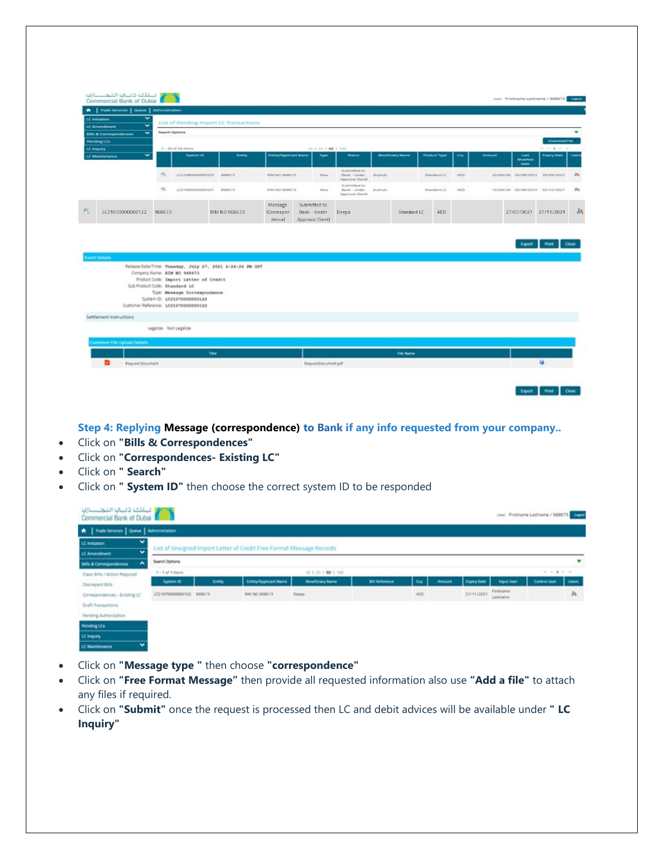| LC Amendment                                    | $\checkmark$<br>$\overline{\phantom{0}}$ | List of Pending Import LC Transactions                                                              |               |                                 |                                                 |                    |                                                 |           |                         |                     |            |               |                                 |                    |       |
|-------------------------------------------------|------------------------------------------|-----------------------------------------------------------------------------------------------------|---------------|---------------------------------|-------------------------------------------------|--------------------|-------------------------------------------------|-----------|-------------------------|---------------------|------------|---------------|---------------------------------|--------------------|-------|
| Bills & Commipondences                          | $\checkmark$                             | Search Options                                                                                      |               |                                 |                                                 |                    |                                                 |           |                         |                     |            |               |                                 |                    |       |
| <b>Pending LCs</b><br>LC Impuiry                |                                          | 3 - 29 of 29 items                                                                                  |               |                                 |                                                 | 10   25   50   100 |                                                 |           |                         |                     |            |               |                                 | Download File<br>. |       |
| LC Maintenance                                  | $\checkmark$                             | System ID                                                                                           | Entity        | Entry/Applicant Name            |                                                 | Type               | Status                                          |           | <b>Beneficiary Name</b> | <b>Product Type</b> | <b>Cry</b> | <b>Amount</b> | Last<br>Modified<br><b>Date</b> | Expiry Date        |       |
|                                                 | C.                                       | LC21080000000323 968673                                                                             |               | <b>ENANO 968673</b>             |                                                 | <b>New</b>         | Submitted to<br>Bank - Under<br>Approval (Sent) | importer. |                         | Standard LC         | AED:       |               | 20.000.00 05/08/2021 29/09/2021 |                    |       |
|                                                 | CL.                                      | LC21080000000321 968675                                                                             |               | RIM NO 968673                   |                                                 | New                | Submitted to<br>Bank - Under - Profindh         |           |                         | Standard LC         | AED.       |               | 10,000.00 05/08/2021 02/12/2021 |                    |       |
|                                                 |                                          |                                                                                                     |               |                                 |                                                 |                    | Approval (Sent)                                 |           |                         |                     |            |               |                                 |                    |       |
| LC21070000000122                                | 968673                                   | Release Date/Time: Tuesday, July 27, 2021 4:24:26 PM ONT                                            | RIM NO 968673 | Message<br>(Correspon<br>dence) | Submitted to<br>Bank - Under<br>Approval (Sent) |                    | Deepa                                           |           | Standard LC             | AED.                |            |               | 27/07/2021 27/11/2021<br>Export |                    |       |
|                                                 | Sub Product Code: Standard LC            | Company Name: RIM NO 968673<br>ProductCode: Import Letter of Credit                                 |               |                                 |                                                 |                    |                                                 |           |                         |                     |            |               |                                 |                    |       |
|                                                 |                                          | Type: Meanage Correspondence<br>System O: LC210700000000122<br>Customer Reference: LC21070000000122 |               |                                 |                                                 |                    |                                                 |           |                         |                     |            |               |                                 |                    |       |
| <b>Coent Details</b><br>Settlement Instructions |                                          |                                                                                                     |               |                                 |                                                 |                    |                                                 |           |                         |                     |            |               |                                 |                    | Close |
|                                                 | Legalize Non Legalize                    |                                                                                                     |               |                                 |                                                 |                    |                                                 |           |                         |                     |            |               |                                 |                    |       |
| unitomer File Upload Details                    |                                          |                                                                                                     |               |                                 |                                                 |                    |                                                 |           |                         |                     |            |               |                                 |                    |       |

**Step 4: Replying Message (correspondence) to Bank if any info requested from your company..**

- Click on **"Bills & Correspondences"**
- Click on **"Correspondences- Existing LC"**
- Click on **" Search"**
- Click on **" System ID"** then choose the correct system ID to be responded

| A   Trade Services   Queue   Administration               |                         |       |                                                                       |                         |                       |            |               |             |                       |               |       |
|-----------------------------------------------------------|-------------------------|-------|-----------------------------------------------------------------------|-------------------------|-----------------------|------------|---------------|-------------|-----------------------|---------------|-------|
| $\checkmark$<br>LC Initiation                             |                         |       | List of Unsigned Import Letter of Credit Free Format Message Records. |                         |                       |            |               |             |                       |               |       |
| $\tilde{}$<br>LC Amendment                                |                         |       |                                                                       |                         |                       |            |               |             |                       |               |       |
| $\hat{\phantom{a}}$<br><b>Bills &amp; Correspondences</b> | Search Options          |       |                                                                       |                         |                       |            |               |             |                       |               | ▼     |
| Clean Bills / Action Required                             | 1 - 1 of 1 April        |       |                                                                       | 10   25   50   100      |                       |            |               |             |                       | $1.1$ 1 1 1   |       |
| Discrepant Bills                                          | System 4D               | Entry | Entity/Applicant Name                                                 | <b>Beneficiary Name</b> | <b>Bill Reference</b> | <b>Cry</b> | <b>Amount</b> | Expiry Date | <b>Imput Uter</b>     | Control Utier | Users |
| Correspondences - Existing LC                             | LC21070000000122 968673 |       | RIM NO 968673                                                         | Deepa                   |                       | ACD        |               | 27/11/2021  | Firstname<br>Lastname |               | 38    |
| Draft Transactions                                        |                         |       |                                                                       |                         |                       |            |               |             |                       |               |       |
| Pending Authorization                                     |                         |       |                                                                       |                         |                       |            |               |             |                       |               |       |
| Pending LCs                                               |                         |       |                                                                       |                         |                       |            |               |             |                       |               |       |
| LC Inquiry                                                |                         |       |                                                                       |                         |                       |            |               |             |                       |               |       |

- Click on **"Message type "** then choose **"correspondence"**
- Click on **"Free Format Message"** then provide all requested information also use **"Add a file"** to attach any files if required.
- Click on **"Submit"** once the request is processed then LC and debit advices will be available under **" LC Inquiry"**